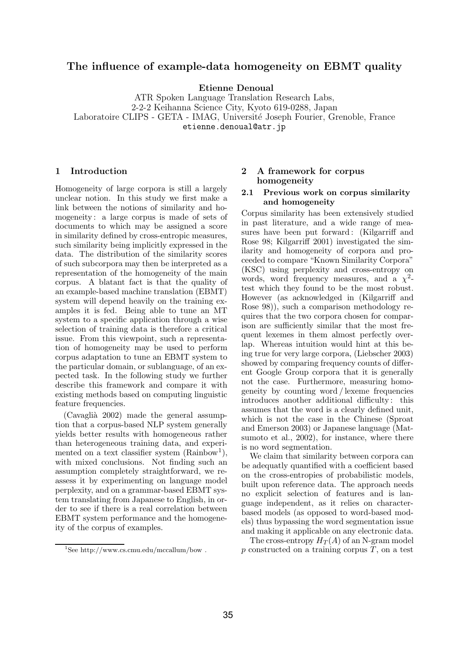# The influence of example-data homogeneity on EBMT quality

Etienne Denoual

ATR Spoken Language Translation Research Labs, 2-2-2 Keihanna Science City, Kyoto 619-0288, Japan Laboratoire CLIPS - GETA - IMAG, Université Joseph Fourier, Grenoble, France etienne.denoual@atr.jp

### 1 Introduction

Homogeneity of large corpora is still a largely unclear notion. In this study we first make a link between the notions of similarity and homogeneity : a large corpus is made of sets of documents to which may be assigned a score in similarity defined by cross-entropic measures, such similarity being implicitly expressed in the data. The distribution of the similarity scores of such subcorpora may then be interpreted as a representation of the homogeneity of the main corpus. A blatant fact is that the quality of an example-based machine translation (EBMT) system will depend heavily on the training examples it is fed. Being able to tune an MT system to a specific application through a wise selection of training data is therefore a critical issue. From this viewpoint, such a representation of homogeneity may be used to perform corpus adaptation to tune an EBMT system to the particular domain, or sublanguage, of an expected task. In the following study we further describe this framework and compare it with existing methods based on computing linguistic feature frequencies.

 $(Cavagli\mathbf{\hat{a}} 2002)$  made the general assumption that a corpus-based NLP system generally yields better results with homogeneous rather than heterogeneous training data, and experimented on a text classifier system (Rainbow<sup>1</sup>), with mixed conclusions. Not finding such an assumption completely straightforward, we reassess it by experimenting on language model perplexity, and on a grammar-based EBMT system translating from Japanese to English, in order to see if there is a real correlation between EBMT system performance and the homogeneity of the corpus of examples.

# 2 A framework for corpus homogeneity

## 2.1 Previous work on corpus similarity and homogeneity

Corpus similarity has been extensively studied in past literature, and a wide range of measures have been put forward : (Kilgarriff and Rose 98; Kilgarriff 2001) investigated the similarity and homogeneity of corpora and proceeded to compare "Known Similarity Corpora" (KSC) using perplexity and cross-entropy on words, word frequency measures, and a  $\chi^2$ test which they found to be the most robust. However (as acknowledged in (Kilgarriff and Rose 98)), such a comparison methodology requires that the two corpora chosen for comparison are sufficiently similar that the most frequent lexemes in them almost perfectly overlap. Whereas intuition would hint at this being true for very large corpora, (Liebscher 2003) showed by comparing frequency counts of different Google Group corpora that it is generally not the case. Furthermore, measuring homogeneity by counting word / lexeme frequencies introduces another additional difficulty : this assumes that the word is a clearly defined unit, which is not the case in the Chinese (Sproat and Emerson 2003) or Japanese language (Matsumoto et al., 2002), for instance, where there is no word segmentation.

We claim that similarity between corpora can be adequatly quantified with a coefficient based on the cross-entropies of probabilistic models, built upon reference data. The approach needs no explicit selection of features and is language independent, as it relies on characterbased models (as opposed to word-based models) thus bypassing the word segmentation issue and making it applicable on any electronic data.

The cross-entropy  $H_T(A)$  of an N-gram model  $p$  constructed on a training corpus  $T$ , on a test

<sup>&</sup>lt;sup>1</sup>See http://www.cs.cmu.edu/mccallum/bow.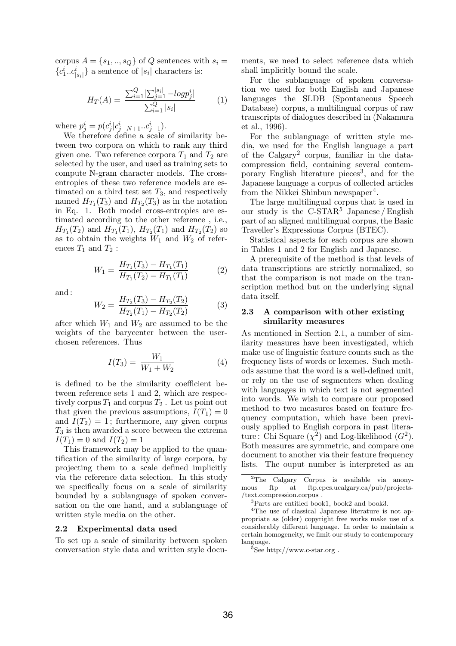corpus  $A = \{s_1, ..., s_Q\}$  of Q sentences with  $s_i =$  ${c_1^i..c_{|s_i|}^i}$  a sentence of  $|s_i|$  characters is:

$$
H_T(A) = \frac{\sum_{i=1}^{Q} \left[\sum_{j=1}^{|s_i|} - log p_j^i\right]}{\sum_{i=1}^{Q} |s_i|}
$$
 (1)

where  $p_j^i = p(c_j^i | c_{j-N+1}^i ... c_{j-1}^i)$ .

We therefore define a scale of similarity between two corpora on which to rank any third given one. Two reference corpora  $T_1$  and  $T_2$  are selected by the user, and used as training sets to compute N-gram character models. The crossentropies of these two reference models are estimated on a third test set  $T_3$ , and respectively named  $H_{T_1}(T_3)$  and  $H_{T_2}(T_3)$  as in the notation in Eq. 1. Both model cross-entropies are estimated according to the other reference , i.e.,  $H_{T_1}(T_2)$  and  $H_{T_1}(T_1)$ ,  $H_{T_2}(T_1)$  and  $H_{T_2}(T_2)$  so as to obtain the weights  $W_1$  and  $W_2$  of references  $T_1$  and  $T_2$ :

$$
W_1 = \frac{H_{T_1}(T_3) - H_{T_1}(T_1)}{H_{T_1}(T_2) - H_{T_1}(T_1)}\tag{2}
$$

and :

$$
W_2 = \frac{H_{T_2}(T_3) - H_{T_2}(T_2)}{H_{T_2}(T_1) - H_{T_2}(T_2)}
$$
(3)

after which  $W_1$  and  $W_2$  are assumed to be the weights of the barycenter between the userchosen references. Thus

$$
I(T_3) = \frac{W_1}{W_1 + W_2} \tag{4}
$$

is defined to be the similarity coefficient between reference sets 1 and 2, which are respectively corpus  $T_1$  and corpus  $T_2$ . Let us point out that given the previous assumptions,  $I(T_1) = 0$ and  $I(T_2) = 1$ ; furthermore, any given corpus  $T_3$  is then awarded a score between the extrema  $I(T_1) = 0$  and  $I(T_2) = 1$ 

This framework may be applied to the quantification of the similarity of large corpora, by projecting them to a scale defined implicitly via the reference data selection. In this study we specifically focus on a scale of similarity bounded by a sublanguage of spoken conversation on the one hand, and a sublanguage of written style media on the other.

#### 2.2 Experimental data used

To set up a scale of similarity between spoken conversation style data and written style documents, we need to select reference data which shall implicitly bound the scale.

For the sublanguage of spoken conversation we used for both English and Japanese languages the SLDB (Spontaneous Speech Database) corpus, a multilingual corpus of raw transcripts of dialogues described in (Nakamura et al., 1996).

For the sublanguage of written style media, we used for the English language a part of the Calgary<sup>2</sup> corpus, familiar in the datacompression field, containing several contemporary English literature pieces<sup>3</sup>, and for the Japanese language a corpus of collected articles from the Nikkei Shinbun newspaper<sup>4</sup>.

The large multilingual corpus that is used in our study is the  $C\text{-STAR}^5$  Japanese / English part of an aligned multilingual corpus, the Basic Traveller's Expressions Corpus (BTEC).

Statistical aspects for each corpus are shown in Tables 1 and 2 for English and Japanese.

A prerequisite of the method is that levels of data transcriptions are strictly normalized, so that the comparison is not made on the transcription method but on the underlying signal data itself.

### 2.3 A comparison with other existing similarity measures

As mentioned in Section 2.1, a number of similarity measures have been investigated, which make use of linguistic feature counts such as the frequency lists of words or lexemes. Such methods assume that the word is a well-defined unit, or rely on the use of segmenters when dealing with languages in which text is not segmented into words. We wish to compare our proposed method to two measures based on feature frequency computation, which have been previously applied to English corpora in past literature: Chi Square  $(\chi^2)$  and Log-likelihood  $(G^2)$ . Both measures are symmetric, and compare one document to another via their feature frequency lists. The ouput number is interpreted as an

 $5$ See http://www.c-star.org .

<sup>&</sup>lt;sup>2</sup>The Calgary Corpus is available via anony-<br>us ftp at ftp.cpcs.ucalgary.ca/pub/projectsmous ftp at ftp.cpcs.ucalgary.ca/pub/projects- /text.compression.corpus .

<sup>3</sup>Parts are entitled book1, book2 and book3.

<sup>4</sup>The use of classical Japanese literature is not appropriate as (older) copyright free works make use of a considerably different language. In order to maintain a certain homogeneity, we limit our study to contemporary language.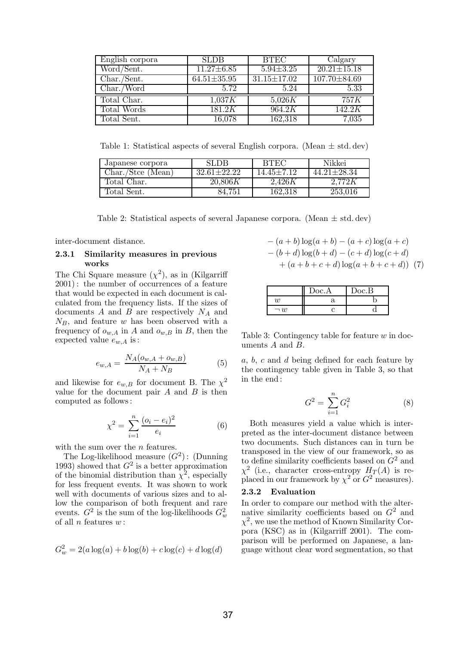| English corpora          | <b>SLDB</b>       | <b>BTEC</b>       | Calgary           |
|--------------------------|-------------------|-------------------|-------------------|
| Word/Sent.               | $11.27 \pm 6.85$  | $5.94 \pm 3.25$   | $20.21 \pm 15.18$ |
| $Char.\overline{/Sent.}$ | $64.51 \pm 35.95$ | $31.15 \pm 17.02$ | 107.70 ± 84.69    |
| Char./Word               | 5.72              | 5.24              | 5.33              |
| Total Char.              | 1,037K            | 5,026K            | 757 K             |
| <b>Total Words</b>       | 181.2K            | 964.2K            | 142.2K            |
| Total Sent.              | 16,078            | 162,318           | 7,035             |

Table 1: Statistical aspects of several English corpora. (Mean  $\pm$  std. dev)

| Japanese corpora  | <b>SLDB</b>       | <b>BTEC</b>      | Nikkei            |
|-------------------|-------------------|------------------|-------------------|
| Char./Stee (Mean) | $32.61 \pm 22.22$ | $14.45 \pm 7.12$ | $44.21 \pm 28.34$ |
| Total Char.       | 20,806K           | 2.426K           | 2.772K            |
| Total Sent.       | 84.751            | 162,318          | 253,016           |

Table 2: Statistical aspects of several Japanese corpora. (Mean  $\pm$  std. dev)

inter-document distance.

### 2.3.1 Similarity measures in previous works

The Chi Square measure  $(\chi^2)$ , as in (Kilgarriff 2001): the number of occurrences of a feature that would be expected in each document is calculated from the frequency lists. If the sizes of documents  $A$  and  $B$  are respectively  $N_A$  and  $N_B$ , and feature w has been observed with a frequency of  $o_{w,A}$  in A and  $o_{w,B}$  in B, then the expected value  $e_{w,A}$  is:

$$
e_{w,A} = \frac{N_A(o_{w,A} + o_{w,B})}{N_A + N_B} \tag{5}
$$

and likewise for  $e_{w,B}$  for document B. The  $\chi^2$ value for the document pair  $A$  and  $B$  is then computed as follows:

$$
\chi^2 = \sum_{i=1}^n \frac{(o_i - e_i)^2}{e_i} \tag{6}
$$

with the sum over the  $n$  features.

The Log-likelihood measure  $(G^2)$ : (Dunning 1993) showed that  $G^2$  is a better approximation of the binomial distribution than  $\chi^2$ , especially for less frequent events. It was shown to work well with documents of various sizes and to allow the comparison of both frequent and rare events.  $G^2$  is the sum of the log-likelihoods  $G_w^2$ of all  $n$  features  $w$ :

$$
G_w^2 = 2(a \log(a) + b \log(b) + c \log(c) + d \log(d))
$$

$$
-(a + b) \log(a + b) - (a + c) \log(a + c)
$$
  

$$
-(b + d) \log(b + d) - (c + d) \log(c + d)
$$
  

$$
+ (a + b + c + d) \log(a + b + c + d)) (7)
$$

|           | Doc.A | Doc.B |
|-----------|-------|-------|
| 11)       | я     |       |
| $\neg$ 11 |       |       |

Table 3: Contingency table for feature  $w$  in documents A and B.

a, b, c and d being defined for each feature by the contingency table given in Table 3, so that in the end :

$$
G^2 = \sum_{i=1}^{n} G_i^2
$$
 (8)

Both measures yield a value which is interpreted as the inter-document distance between two documents. Such distances can in turn be transposed in the view of our framework, so as to define similarity coefficients based on  $G^2$  and  $\chi^2$  (i.e., character cross-entropy  $H_T(A)$  is replaced in our framework by  $\chi^2$  or  $G^2$  measures).

#### 2.3.2 Evaluation

In order to compare our method with the alternative similarity coefficients based on  $G^2$  and  $\chi^2$ , we use the method of Known Similarity Corpora (KSC) as in (Kilgarriff 2001). The comparison will be performed on Japanese, a language without clear word segmentation, so that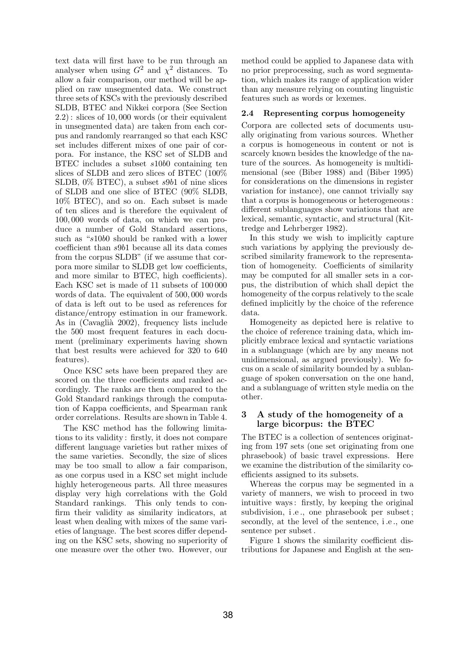text data will first have to be run through an analyser when using  $G^2$  and  $\chi^2$  distances. To allow a fair comparison, our method will be applied on raw unsegmented data. We construct three sets of KSCs with the previously described SLDB, BTEC and Nikkei corpora (See Section 2.2): slices of 10, 000 words (or their equivalent in unsegmented data) are taken from each corpus and randomly rearranged so that each KSC set includes different mixes of one pair of corpora. For instance, the KSC set of SLDB and BTEC includes a subset s10b0 containing ten slices of SLDB and zero slices of BTEC (100% SLDB, 0% BTEC), a subset s9b1 of nine slices of SLDB and one slice of BTEC (90% SLDB, 10% BTEC), and so on. Each subset is made of ten slices and is therefore the equivalent of 100, 000 words of data, on which we can produce a number of Gold Standard assertions, such as "s10b0 should be ranked with a lower coefficient than s9b1 because all its data comes from the corpus SLDB" (if we assume that corpora more similar to SLDB get low coefficients, and more similar to BTEC, high coefficients). Each KSC set is made of 11 subsets of 100 000 words of data. The equivalent of 500, 000 words of data is left out to be used as references for distance/entropy estimation in our framework. As in  $(Cavagli\mathbf{\hat{a}}\ 2002)$ , frequency lists include the 500 most frequent features in each document (preliminary experiments having shown that best results were achieved for 320 to 640 features).

Once KSC sets have been prepared they are scored on the three coefficients and ranked accordingly. The ranks are then compared to the Gold Standard rankings through the computation of Kappa coefficients, and Spearman rank order correlations. Results are shown in Table 4.

The KSC method has the following limitations to its validity : firstly, it does not compare different language varieties but rather mixes of the same varieties. Secondly, the size of slices may be too small to allow a fair comparison, as one corpus used in a KSC set might include highly heterogeneous parts. All three measures display very high correlations with the Gold Standard rankings. This only tends to confirm their validity as similarity indicators, at least when dealing with mixes of the same varieties of language. The best scores differ depending on the KSC sets, showing no superiority of one measure over the other two. However, our method could be applied to Japanese data with no prior preprocessing, such as word segmentation, which makes its range of application wider than any measure relying on counting linguistic features such as words or lexemes.

# 2.4 Representing corpus homogeneity

Corpora are collected sets of documents usually originating from various sources. Whether a corpus is homogeneous in content or not is scarcely known besides the knowledge of the nature of the sources. As homogeneity is multidimensional (see (Biber 1988) and (Biber 1995) for considerations on the dimensions in register variation for instance), one cannot trivially say that a corpus is homogeneous or heterogeneous: different sublanguages show variations that are lexical, semantic, syntactic, and structural (Kittredge and Lehrberger 1982).

In this study we wish to implicitly capture such variations by applying the previously described similarity framework to the representation of homogeneity. Coefficients of similarity may be computed for all smaller sets in a corpus, the distribution of which shall depict the homogeneity of the corpus relatively to the scale defined implicitly by the choice of the reference data.

Homogeneity as depicted here is relative to the choice of reference training data, which implicitly embrace lexical and syntactic variations in a sublanguage (which are by any means not unidimensional, as argued previously). We focus on a scale of similarity bounded by a sublanguage of spoken conversation on the one hand, and a sublanguage of written style media on the other.

## 3 A study of the homogeneity of a large bicorpus: the BTEC

The BTEC is a collection of sentences originating from 197 sets (one set originating from one phrasebook) of basic travel expressions. Here we examine the distribution of the similarity coefficients assigned to its subsets.

Whereas the corpus may be segmented in a variety of manners, we wish to proceed in two intuitive ways: firstly, by keeping the original subdivision, i.e., one phrasebook per subset; secondly, at the level of the sentence, i .e ., one sentence per subset.

Figure 1 shows the similarity coefficient distributions for Japanese and English at the sen-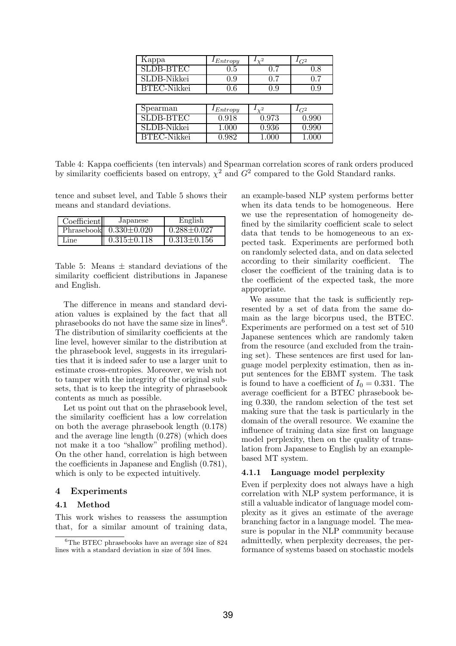| Kappa              | $I_{Entropy}$      | $\sqrt{2}$      | $\mathcal{L}_{G2}$ |
|--------------------|--------------------|-----------------|--------------------|
| <b>SLDB-BTEC</b>   | 0.5                | 0.7             | 0.8                |
| SLDB-Nikkei        | 0.9                | 0.7             | 0.7                |
| <b>BTEC-Nikkei</b> | 0.6                | 0.9             | 0.9                |
|                    |                    |                 |                    |
| Spearman           | Entropy            | $\mathcal{V}^2$ | $I_{G2}$           |
| <b>SLDB-BTEC</b>   | 0.918              | 0.973           | 0.990              |
| SLDB-Nikkei        | 1.000              | 0.936           | $\overline{0.9}90$ |
| <b>BTEC-Nikkei</b> | $\overline{0.9}82$ | 1.000           | 1.000              |
|                    |                    |                 |                    |

Table 4: Kappa coefficients (ten intervals) and Spearman correlation scores of rank orders produced by similarity coefficients based on entropy,  $\chi^2$  and  $G^2$  compared to the Gold Standard ranks.

tence and subset level, and Table 5 shows their means and standard deviations.

| Coefficient | Japanese                   | English           |
|-------------|----------------------------|-------------------|
|             | Phrasebook $0.330\pm0.020$ | $0.288 \pm 0.027$ |
| Line        | $0.315 \pm 0.118$          | $0.313 \pm 0.156$ |

Table 5: Means  $\pm$  standard deviations of the similarity coefficient distributions in Japanese and English.

The difference in means and standard deviation values is explained by the fact that all phrasebooks do not have the same size in lines<sup>6</sup>. The distribution of similarity coefficients at the line level, however similar to the distribution at the phrasebook level, suggests in its irregularities that it is indeed safer to use a larger unit to estimate cross-entropies. Moreover, we wish not to tamper with the integrity of the original subsets, that is to keep the integrity of phrasebook contents as much as possible.

Let us point out that on the phrasebook level, the similarity coefficient has a low correlation on both the average phrasebook length (0.178) and the average line length (0.278) (which does not make it a too "shallow" profiling method). On the other hand, correlation is high between the coefficients in Japanese and English (0.781), which is only to be expected intuitively.

## 4 Experiments

### 4.1 Method

This work wishes to reassess the assumption that, for a similar amount of training data,

an example-based NLP system performs better when its data tends to be homogeneous. Here we use the representation of homogeneity defined by the similarity coefficient scale to select data that tends to be homogeneous to an expected task. Experiments are performed both on randomly selected data, and on data selected according to their similarity coefficient. The closer the coefficient of the training data is to the coefficient of the expected task, the more appropriate.

We assume that the task is sufficiently represented by a set of data from the same domain as the large bicorpus used, the BTEC. Experiments are performed on a test set of 510 Japanese sentences which are randomly taken from the resource (and excluded from the training set). These sentences are first used for language model perplexity estimation, then as input sentences for the EBMT system. The task is found to have a coefficient of  $I_0 = 0.331$ . The average coefficient for a BTEC phrasebook being 0.330, the random selection of the test set making sure that the task is particularly in the domain of the overall resource. We examine the influence of training data size first on language model perplexity, then on the quality of translation from Japanese to English by an examplebased MT system.

### 4.1.1 Language model perplexity

Even if perplexity does not always have a high correlation with NLP system performance, it is still a valuable indicator of language model complexity as it gives an estimate of the average branching factor in a language model. The measure is popular in the NLP community because admittedly, when perplexity decreases, the performance of systems based on stochastic models

<sup>6</sup>The BTEC phrasebooks have an average size of 824 lines with a standard deviation in size of 594 lines.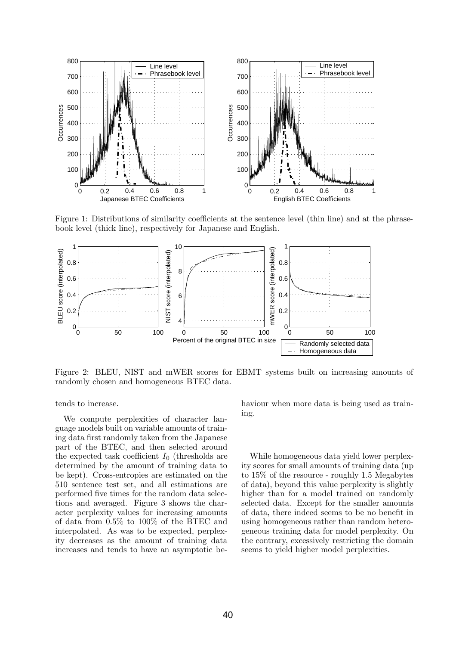

Figure 1: Distributions of similarity coefficients at the sentence level (thin line) and at the phrasebook level (thick line), respectively for Japanese and English.



Figure 2: BLEU, NIST and mWER scores for EBMT systems built on increasing amounts of randomly chosen and homogeneous BTEC data.

tends to increase.

We compute perplexities of character language models built on variable amounts of training data first randomly taken from the Japanese part of the BTEC, and then selected around the expected task coefficient  $I_0$  (thresholds are determined by the amount of training data to be kept). Cross-entropies are estimated on the 510 sentence test set, and all estimations are performed five times for the random data selections and averaged. Figure 3 shows the character perplexity values for increasing amounts of data from 0.5% to 100% of the BTEC and interpolated. As was to be expected, perplexity decreases as the amount of training data increases and tends to have an asymptotic behaviour when more data is being used as training.

While homogeneous data yield lower perplexity scores for small amounts of training data (up to 15% of the resource - roughly 1.5 Megabytes of data), beyond this value perplexity is slightly higher than for a model trained on randomly selected data. Except for the smaller amounts of data, there indeed seems to be no benefit in using homogeneous rather than random heterogeneous training data for model perplexity. On the contrary, excessively restricting the domain seems to yield higher model perplexities.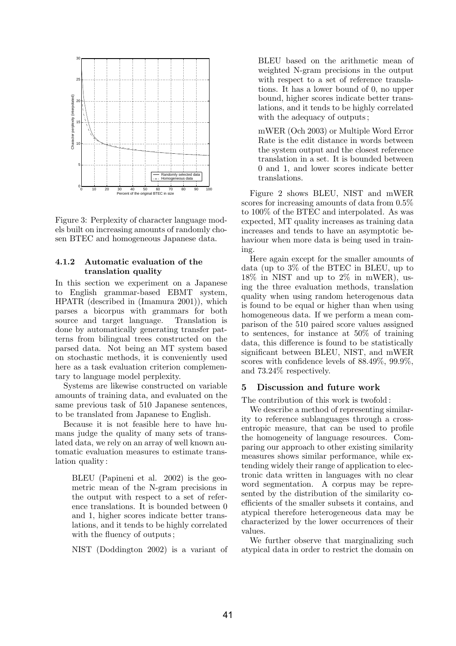

Figure 3: Perplexity of character language models built on increasing amounts of randomly chosen BTEC and homogeneous Japanese data.

## 4.1.2 Automatic evaluation of the translation quality

In this section we experiment on a Japanese to English grammar-based EBMT system, HPATR (described in (Imamura 2001)), which parses a bicorpus with grammars for both source and target language. Translation is done by automatically generating transfer patterns from bilingual trees constructed on the parsed data. Not being an MT system based on stochastic methods, it is conveniently used here as a task evaluation criterion complementary to language model perplexity.

Systems are likewise constructed on variable amounts of training data, and evaluated on the same previous task of 510 Japanese sentences, to be translated from Japanese to English.

Because it is not feasible here to have humans judge the quality of many sets of translated data, we rely on an array of well known automatic evaluation measures to estimate translation quality :

BLEU (Papineni et al. 2002) is the geometric mean of the N-gram precisions in the output with respect to a set of reference translations. It is bounded between 0 and 1, higher scores indicate better translations, and it tends to be highly correlated with the fluency of outputs;

NIST (Doddington 2002) is a variant of

BLEU based on the arithmetic mean of weighted N-gram precisions in the output with respect to a set of reference translations. It has a lower bound of 0, no upper bound, higher scores indicate better translations, and it tends to be highly correlated with the adequacy of outputs;

mWER (Och 2003) or Multiple Word Error Rate is the edit distance in words between the system output and the closest reference translation in a set. It is bounded between 0 and 1, and lower scores indicate better translations.

Figure 2 shows BLEU, NIST and mWER scores for increasing amounts of data from 0.5% to 100% of the BTEC and interpolated. As was expected, MT quality increases as training data increases and tends to have an asymptotic behaviour when more data is being used in training.

Here again except for the smaller amounts of data (up to 3% of the BTEC in BLEU, up to 18% in NIST and up to 2% in mWER), using the three evaluation methods, translation quality when using random heterogenous data is found to be equal or higher than when using homogeneous data. If we perform a mean comparison of the 510 paired score values assigned to sentences, for instance at 50% of training data, this difference is found to be statistically significant between BLEU, NIST, and mWER scores with confidence levels of 88.49%, 99.9%, and 73.24% respectively.

### 5 Discussion and future work

The contribution of this work is twofold :

We describe a method of representing similarity to reference sublanguages through a crossentropic measure, that can be used to profile the homogeneity of language resources. Comparing our approach to other existing similarity measures shows similar performance, while extending widely their range of application to electronic data written in languages with no clear word segmentation. A corpus may be represented by the distribution of the similarity coefficients of the smaller subsets it contains, and atypical therefore heterogeneous data may be characterized by the lower occurrences of their values.

We further observe that marginalizing such atypical data in order to restrict the domain on